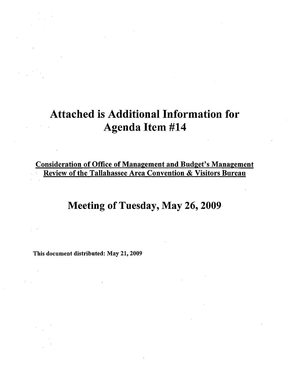# Attached is Additional Information for Agenda Item #14

Consideration of Office of Management and Budget's Management Review of the Tallahassee Area Convention & Visitors Bureau

# Meeting of Tuesday, May 26, 2009

This document distributed: May 21, 2009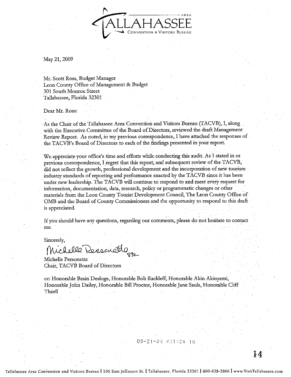

May 21, 2009

Mr. Scott Ross, Budget Manager Leon County Office of Management & Budget 301 South Monroe Street Tallahassee, Florida 32301

Dear Mr. Ross:

As the Chair of the Tallahassee Area Convention and Visitors Bureau (TACVB), I, along with the Executive Committee of the Board of Directors, reviewed the draft Management Review Report. As noted, in my previous correspondence, I have attached the responses of the TACVB's Board 6f Directors to each of the findings presented in your report.

We appreciate your office's time and efforts while conducting this audit. As I stated in or previous correspondence, I regret that this report, and subsequent review of the TACVB, did not reflect the growth, professional development and the incorporation of new tourism industry standards of reporting and performance enacted by the TACVB since it has been under new leadership. The TACVB will continue to respond to and meet every request for information, documentation, data, research, policy or programmatic changes or other , materials from the Leon County Tourist Development Council, The Leon County Office of 0MB and the Board of County Commissioners and the opportunity to respond to this draft is appreciated.

If you should have any questions, regarding our comments, please do not hesitate to contact me,

Sincerely,

Michelle Rensenettle

Michelle Personette \_ Chair, TACVB Board of Directors

cc: Honorable Brain Desloge, Honorable Bob Rackleff, Honorable Akin Akinyemi, . Honorable John Dailey, Honorable Bill Proctor, Honorable Jane Sauls, HonorableCliff '!'haell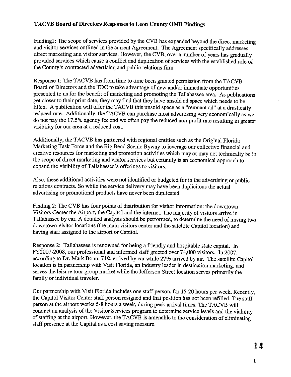Findingl: The scope of services provided by the CVB has expanded beyond the direct marketing and visitor services outlined in the current Agreement. The Agreement specifically addresses direct marketing and visitor services. However, the CVB, over a number of years has gradually provided services which cause a conflict and duplication of services with the established role of the County's contracted advertising and public relations firm.

Response 1: The TACVB has from time to time been granted permission from the TACVB Board of Directors and the TDC to take advantage of new and/or immediate opportunities presented to us for the benefit of marketing and promoting the Tallahassee area. As publications get closer to their print date, they may find that they have unsold ad space which needs to be filled. A publication will offer the TACVB this unsold space as a "remnant ad" at a drastically reduced rate. Additionally, the TACVB can purchase most advertising very economically as we do not pay the 17.5% agency fee and we often pay the reduced non-profit rate resulting in greater visibility for our area at a reduced cost.

Additionally, the TACVB has partnered with regional entities such as the Original Florida Marketing Task Force and the Big Bend Scenic Byway to leverage our collective financial and creative resources for marketing and promotion activities which may or may not technically be in the scope of direct marketing and visitor services but certainly is an economical approach to expand the visibility of Tallahassee's offerings to visitors.

Also, these additional activities were not identified or budgeted for in the advertising or public relations contracts. So while the service delivery may have been duplicitous the actual advertising or promotional products have never been duplicated.

Finding 2: The CVB has four points of distribution for visitor information: the downtown Visitors Center the Airport, the Capitol and the internet. The majority of visitors arrive in Tallahassee by car. A detailed analysis should be performed, to determine the need of having two downtown visitor locations (the main visitors center and the satellite Capitol location) and having staff assigned to the airport or Capitol.

Response 2: Tallahassee is renowned for being a friendly and hospitable state capital. In FY2007-2008, our professional and informed staff greeted over 74,000 visitors. In 2007, according to Dr. Mark Bonn, 71% arrived by car while 27% arrived by air. The satellite Capitol location is in partnership with Visit Florida, an industry leader in destination marketing, and serves the leisure tour group market while the Jefferson Street location serves primarily the family or individual traveler.

Our partnership with Visit Florida includes one staff person, for 15-20 hours per week. Recently, the Capitol Visitor Center staff person resigned and that position has not been refilled. The staff person at the airport works 5-8 hours a week, during peak arrival times. The TACVB will conduct an analysis of the Visitor Services program to determine service levels and the viability of staffing at the airport. However, the TACVB is amenable to the consideration of eliminating staff presence at the Capital as a cost saving measure.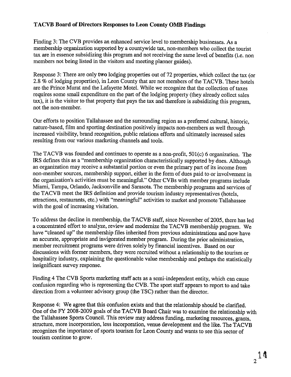Finding 3: The CVB provides an enhanced service level to membership businesses. As a membership organization supported by a countywide tax, non-members who collect the tourist tax are in essence subsidizing this program and not receiving the same level of benefits (i.e. non members not being listed in the visitors and meeting planner guides).

Response 3: There are only **two** lodging properties out of 72 properties, which collect the tax (or 2.8 % of lodging properties), in Leon County that are not members of the TACVB. These hotels are the Prince Murat and the Lafayette Motel. While we recognize that the collection of taxes requires some small expenditure on the part of the lodging property (they already collect sales tax), it is the visitor to that property that pays the tax and therefore is subsidizing this program, not the non-member.

Our efforts to position Tallahassee and the surrounding region as a preferred cultural, historic, nature-based, film and sporting destination positively impacts non-members as well through increased visibility, brand recognition, public relations efforts and ultimately increased sales resulting from our various marketing channels and tools.

The TACVB was founded and continues to operate as a non-profit, 501(c) 6 organization. The IRS defines this as a "membership organization characteristically supported by dues. Although an organization may receive a substantial portion or even the primary part of its income from non-member sources, membership support, either in the form of dues paid to or involvement in the organization's activities must be meaningful." Other CVBs with member programs include Miami, Tampa, Orlando, Jacksonville and Sarasota. The membership programs and services of the TACVB meet the IRS definition and provide tourism industry representatives (hotels, attractions, restaurants, etc.) with "meaningful" activities to market and promote Tallahassee with the goal of increasing visitation.

To address the decline in membership, the TACVB staff, since November of 2005, there has led a concentrated effort to analyze, review and modernize the TACVB membership program. We have "cleaned up" the membership files inherited from previous administrations and now have an accurate, appropriate and invigorated member program. During the prior administration, member recruitment programs were driven solely by financial incentives. Based on our discussions with former members, they were recruited without a relationship to the tourism or hospitality industry, explaining the questionable value membership and perhaps the statistically insignificant survey response.

Finding 4 The CVB Sports marketing staff acts as a semi-independent entity, which can cause confusion regarding who is representing the CVB. The sport staff appears to report to and take direction from a volunteer advisory group (the TSC) rather than the director.

Response 4: We agree that this confusion exists and that the relationship should be clarified. One of the FY 2008-2009 goals of the TACVB Board Chair was to examine the relationship with the Tallahassee Sports Council. This review may address funding, marketing resources, grants, structure, more incorporation, less incorporation, venue development and the like. The **T**ACVB recognizes the importance of sports tourism for Leon County and wants to see this sector of tourism continue to grow.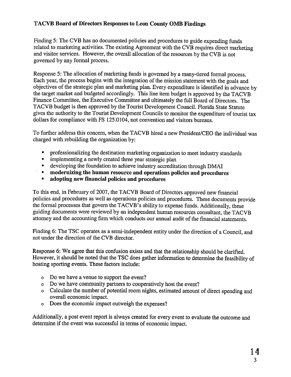Finding 5: The CVB has no documented policies and procedures to guide expending funds related to marketing activities. The existing Agreement with the CVB requires direct marketing and visitor services. However, the overall allocation of the resources by the CVB is not governed by any formal process.

Response 5: The allocation of marketing funds is governed by a many-tiered formal process. Each year, the process begins with the integration of the mission statement with the goals and objectives of the strategic plan and marketing plan. Every expenditure is identified in advance by the target market and budgeted accordingly. This line item budget is approved by the TACVB Finance Committee, the Executive Committee and ultimately the full Board of Directors. The TACVB budget is then approved by the Tourist Development Council. Florida State Statute gives the authority to the Tourist Development Councils to monitor the expenditure of tourist tax dollars for compliance with FS 125.0104, not convention and visitors bureaus.

To further address this concern, when the TACVB hired a new President/CEO the individual was charged with rebuilding the organization by:

- professionalizing the destination marketing organization to meet industry standards
- implementing a newly created three year strategic plan
- **•** developing the foundation to achieve industry accreditation through DMAI
- **modernizing the human resource and operations policies and procedures**
- **adopting new financial policies and procedures**

To this end, in February of 2007, the TACVB Board of Directors approved new financial policies and procedures as well as operations policies and procedures. These documents provide the formal processes that govern the TACVB's ability to expense funds. Additionally, these guiding documents were reviewed by an independent human resources consultant, the T ACVB attorney and the accounting firm which conducts our annual audit of the financial statements.

Finding 6: The TSC operates as a semi-independent entity under the direction of a Council, and not under the direction of the CVB director.

Response 6: We agree that this confusion exists and that the relationship should be clarified. However, it should be noted that the TSC does gather information to determine the feasibility of hosting sporting events. These factors include:

- o Do we have a venue to support the event?
- o Do we have community partners to cooperatively host the event?
- o Calculate the number of potential room nights, estimated amount of direct spending and overall economic impact.
- o Does the economic impact outweigh the expenses?

Additionally, a post event report is always created for every event to evaluate the outcome and determine if the event was successful in terms of economic impact.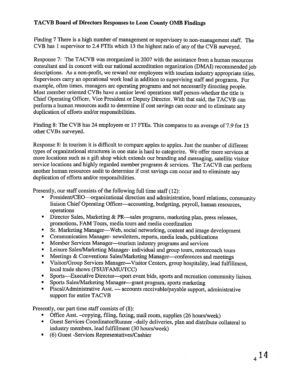Finding 7 There is a high number of management or supervisory to non-management staff. The CVB has 1 supervisor to 2.4 FTEs which 13 the highest ratio of any of the CVB surveyed.

Response 7: The TACVB was reorganized in 2007 with the assistance from a human resources consultant and in concert with our national accreditation organization (DMAI) recommended job descriptions. As a non-profit, we reward our employees with tourism industry appropriate titles. Supervisors carry an operational work load in addition to supervising staff and programs. For example, often times, managers are operating programs and not necessarily directing people. Most member oriented CVBs have a senior level operations staff person-whether the title is Chief Operating Officer, Vice President or Deputy Director. With that said, the TACVB can perform a human resources audit to determine if cost savings can occur and to eliminate any duplication of efforts and/or responsibilities.

Finding 8: The CYB has 24 employees or 17 FTEs. This compares to an average of 7.9 for 13 other CVBs surveyed.

Response 8: In tourism it is difficult to compare apples to apples. Just the number of different types of organizational structures in one state is hard to categorize. We offer more services at more locations such as a gift shop which extends our branding and messaging, satellite visitor service locations and highly regarded member programs & services. The TACVB can perform another human resources audit to determine if cost savings can occur and to eliminate any duplication of efforts and/or responsibilities.

Presently, our staff consists of the following full time staff (12):

- President/CEO—organizational direction and administration, board relations, community liaison Chief Operating Officer-accounting, budgeting, payroll, human resources, operations
- Director Sales, Marketing & PR—sales programs, marketing plan, press releases, promotions, FAM Tours, media tours and media coordination
- Sr. Marketing Manager—Web, social networking, content and image development
- Communication Manager- newsletters, reports, media leads, publications
- Member Services Manager-tourism industry programs and services
- Leisure Sales/Marketing Manager- individual and group tours, motorcoach tours
- Meetings & Conventions Sales/Marketing Manager-conferences and meetings
- Visitor/Group Services Manager-Visitor Centers, group hospitality, lead fulfillment, local trade shows (FSU/FAMU/TCC)
- Sports—Executive Director—sport event bids, sports and recreation community liaison
- Sports Sales/Marketing Manager-grant program, sports marketing
- Fiscal/Administrative Asst. accounts receivable/payable support, administrative support for entire TACVB

Presently, our part time staff consists of (8):

- Office Asst. -copying, filing, faxing, mail room, supplies (26 hours/week)
- Guest Services Coordinator/Runner -daily deliveries, plan and distribute collateral to industry members, lead fulfillment (30 hours/week)
- (6) Guest -Services Representatives/Cashier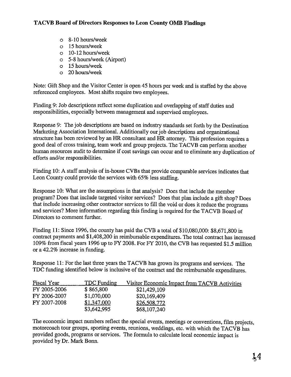- o 8-10 hours/week
- o 15 hours/week
- o 10-12 hours/week
- o 5-8 hours/week (Airport)
- o 15 hours/week
- o 20 hours/week

Note: Gift Shop and the Visitor Center is open 45 hours per week and is staffed by the above referenced employees. Most shifts require two employees.

Finding 9: Job descriptions reflect some duplication and overlapping of staff duties and responsibilities, especially between management and supervised employees.

Response 9: The job descriptions are based on industry standards set forth by the Destination Marketing Association International. Additionally our job descriptions and organizational structure has been reviewed by an HR consultant and HR attorney. This profession requires a good deal of cross training, team work and group projects. The T ACVB can perform another human resources audit to determine if cost savings can occur and to eliminate any duplication of efforts and/or responsibilities.

Finding 10: A staff analysis of in-house CVBs that provide comparable services indicates that Leon County could provide the services with 65% less staffing.

Response 10: What are the assumptions in that analysis? Does that include the member program? Does that include targeted visitor services? Does that plan include a gift shop? Does that include increasing other contractor services to fill the void or does it reduce the programs and services? More information regarding this finding is required for the TACVB Board of Directors to comment further.

Finding **11:** Since 1996, the county has paid the CVB a total of \$10,080,000: \$8,671,800 in contract payments and \$1,408,200 in reimbursable expenditures. The total contract has increased 109% from fiscal years 1996 up to FY 2008. For FY 2010, the CVB has requested \$1.5 million or a 42.2% increase in funding.

Response 11: For the last three years the TACVB has grown its programs and services. The TDC funding identified below is inclusive of the contract and the reimbursable expenditures.

| Fiscal Year  | <b>TDC</b> Funding | Visitor Economic Impact from TACVB Activities |
|--------------|--------------------|-----------------------------------------------|
| FY 2005-2006 | \$865,800          | \$21,429,109                                  |
| FY 2006-2007 | \$1,070,000        | \$20,169,409                                  |
| FY 2007-2008 | \$1,347,000        | \$26,508,772                                  |
|              | \$3,642,995        | \$68,107,240                                  |

The economic impact numbers reflect the special events, meetings or conventions, film projects, motorcoach tour groups, sporting events, reunions, weddings, etc. with which the TACVB has provided goods, programs or services. The formula to calculate local economic impact is provided by Dr. Mark Bonn.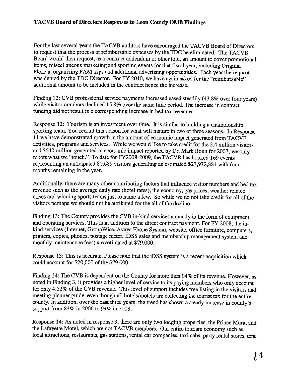For the last several years the TACVB auditors have encouraged the TACVB Board of Directors to request that the process of reimbursable expenses by the TDC be eliminated. The TACVB Board would then request, as a contract addendum or other tool, an amount to cover promotional items, miscellaneous marketing and sporting events for that fiscal year, including Original Florida, organizing FAM trips and additional advertising opportunities. Each year the request was denied by the TDC Director. For FY 2010, we have again asked for the "reimbursable" additional amount to be included in the contract hence the increase.

Finding 12: CVB professional service payments increased eased steadily (43.8% over four years) while visitor numbers declined 15.8% over the same time period. The increase in contract funding did not result in a corresponding increase in bed tax revenues.

Response 12: Tourism is an investment over time. It is similar to building a championship sporting team. You recruit this season for what will mature in two or three seasons. In Response 11 we have demonstrated growth in the amount of economic impact generated from TACVB activities, programs and services. While we would like to take credit for the 2.4 million visitors and \$640 million generated in economic impact reported by Dr. Mark Bonn for 2007, we only report what we "touch." To date for FY2008-2009, the TACVB has booked 169 events representing an anticipated 80,689 visitors generating an estimated \$27,972,884 with four months remaining in the year.

Additionally, there are many other contributing factors that influence visitor numbers and bed tax revenue such as the average daily rate (hotel rates), the economy, gas prices, weather related crises and winning sports teams just to name a few. So while we do not take credit for all of the visitors perhaps we should not be attributed for the all of the decline.

Finding 13: The County provides the CVB in-kind services annually in the form of equipment and operating services. This is in addition to the direct contract payment. For FY 2008, the inkind services (Internet, Group Wise, Avaya Phone System, website, office furniture, computers, printers, copies, phones, postage meter, IDSS sales and membership management system and monthly maintenance fees) are estimated at \$79,000.

Response 13: This is accurate. Please note that the iDSS system is a recent acquisition which could account for \$20,000 of the \$79,000.

Finding 14: The CVB is dependent on the County for more than 94% of its revenue. However, as noted in Finding 3, it provides a higher level of service to its paying members who only account for only 4.52% of the CVB revenue. This level of support includes free listing in the visitors and meeting planner guide, even though all hotels/motels are collecting the tourist tax for the entire county. In addition, over the past three years, the trend has shown a steady increase in county's support from 83% in 2006 to 94% in 2008.

Response 14: As noted in response 3, there are only two lodging properties, the Prince Murat and the Lafayette Motel, which are not T ACVB members. Our entire tourism economy such as, local attractions, restaurants, gas stations, rental car companies, taxi cabs, party rental stores, tent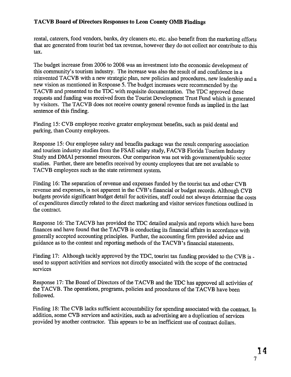rental, caterers, food vendors, banks, dry cleaners etc. etc. also benefit from the marketing efforts that are generated from tourist bed tax revenue, however they do not collect nor contribute to this tax.

The budget increase from 2006 to 2008 was an investment into the economic development of this community's tourism industry. The increase was also the result of and confidence in a reinvented T ACVB with a new strategic plan, new policies and procedures, new leadership and a new vision as mentioned in Response 5. The budget increases were recommended by the TACVB and presented to the TDC with requisite documentation. The TDC approved these requests and funding was received from the Tourist Development Trust Fund which is generated by visitors. The TACVB does not receive county general revenue funds as implied in the last sentence of this finding.

Finding 15: CVB employee receive greater employment benefits, such as paid dental and parking, than County employees.

Response 15: Our employee salary and benefits package was the result comparing association and tourism industry studies from the FSAE salary study, FACVB Florida Tourism Industry Study and DMAI personnel resources. Our comparison was not with government/public sector studies. Further, there are benefits received by county employees that are not available to TACVB employees such as the state retirement system.

Finding 16: The separation of revenue and expenses funded by the tourist tax and other CVB revenue and expenses, is not apparent in the CVB 's financial or budget records. Although CVB budgets provide significant budget detail for activities, staff could not always determine the costs of expenditures directly related to the direct marketing and visitor services functions outlined in the contract.

Response 16: The TACVB has provided the TDC detailed analysis and reports which have been finances and have found that the T ACVB is conducting its financial affairs in accordance with generally accepted accounting principles. Further, the accounting firm provided advice and guidance as to the content and reporting methods of the TAC VB' s financial statements.

Finding 17: Although tacitly approved by the TDC, tourist tax funding provided to the CVB is used to support activities and services not directly associated with the scope of the contracted services

Response 17: The Board of Directors of the TACVB and the TDC has approved all activities of the TACVB. The operations, programs, policies and procedures of the TACVB have been followed.

Finding 18: The CVB lacks sufficient accountability for spending associated with the contract. In addition, some CVB services and activities, such as advertising are a duplication of services provided by another contractor. This appears to be an inefficient use of contract dollars.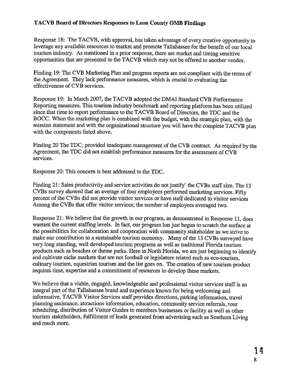Response 18: The TACVB, with approval, has taken advantage of every creative opportunity to leverage any available resources to market and promote Tallahassee for the benefit of our local tourism industry. As mentioned in a prior response, there are market and timing sensitive opportunities that are presented to the TACVB which may not be offered to another vendor.

Finding 19: The CVB Marketing Plan and progress reports are not compliant with the terms of the Agreement. They lack performance measures, which is crucial to evaluating the effectiveness of CVB services.

Response 19: In March 2007, the TACVB adopted the DMAI Standard CVB Performance Reporting measures. This tourism industry benchmark and reporting platform has been utilized since that time to report performance to the T ACVB Board of Directors, the TDC and the BOCC. When the marketing plan is combined with the budget, with the strategic plan, with the mission statement and with the organizational structure you will have the complete TACVB plan with the components listed above.

Finding 20 The TDC; provided inadequate management of the CVB contract. As required by the Agreement, the TDC did not establish performance measures for the assessment of CVB services.

Response 20: This concern is best addressed to the TDC.

Finding 21: Sales productivity and service activities do not justify' the CVBs staff size. The 13 CVBs survey showed that an average of four employees performed marketing services. Fifty percent of the CVBs did not provide visitor services or have staff dedicated to visitor services Among the CVBs that offer visitor services; the number of employees averaged two.

Response 21: We believe that the growth in our program, as demonstrated in Response 11, does warrant the current staffing levels. In fact, our program has just begun to scratch the surface at the possibilities for collaboration and cooperation with community stakeholder as we strive to make our contribution to a sustainable tourism economy. Many of the 13 CVBs surveyed have very long standing, well developed tourism programs as well as traditional Florida tourism products such as beaches or theme parks. Here in North Florida, we are just beginning to identify and cultivate niche markets that are not football or legislature related such as eco-tourism, culinary tourism, equestrian tourism and the list goes on. The creation of new tourism product requires time, expertise and a commitment of resources to develop these markets.

We believe that a viable, engaged, knowledgeable and professional visitor services staff is an integral part of the Tallahassee brand and experience known for being welcoming and informative. TACVB Visitor Services staff provides directions, parking information, travel planning assistance, attractions information, education, community service referrals, tour scheduling, distribution of Visitor Guides to members businesses or facility as well as other tourism stakeholders, fulfillment of leads generated from advertising such as Southern Living and much more.